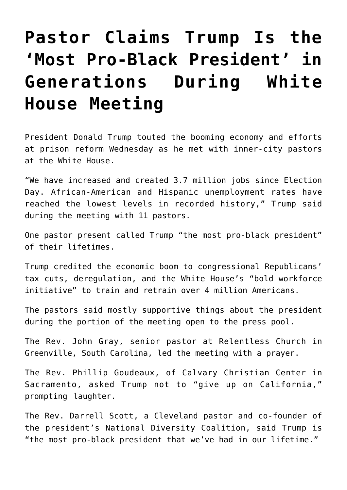## **[Pastor Claims Trump Is the](https://intellectualtakeout.org/2018/08/pastor-claims-trump-is-the-most-pro-black-president-in-generations-during-white-house-meeting/) ['Most Pro-Black President' in](https://intellectualtakeout.org/2018/08/pastor-claims-trump-is-the-most-pro-black-president-in-generations-during-white-house-meeting/) [Generations During White](https://intellectualtakeout.org/2018/08/pastor-claims-trump-is-the-most-pro-black-president-in-generations-during-white-house-meeting/) [House Meeting](https://intellectualtakeout.org/2018/08/pastor-claims-trump-is-the-most-pro-black-president-in-generations-during-white-house-meeting/)**

President Donald Trump touted the booming economy and efforts at prison reform Wednesday as he met with inner-city pastors at the White House.

"We have increased and created 3.7 million jobs since Election Day. African-American and Hispanic unemployment rates have reached the lowest levels in recorded history," Trump said during the meeting with 11 pastors.

One pastor present called Trump "the most pro-black president" of their lifetimes.

Trump credited the economic boom to congressional Republicans' tax cuts, deregulation, and the White House's "bold workforce initiative" to train and retrain over 4 million Americans.

The pastors said mostly supportive things about the president during the portion of the meeting open to the press pool.

The Rev. John Gray, senior pastor at Relentless Church in Greenville, South Carolina, led the meeting with a prayer.

The Rev. Phillip Goudeaux, of Calvary Christian Center in Sacramento, asked Trump not to "give up on California," prompting laughter.

The Rev. Darrell Scott, a Cleveland pastor and co-founder of the president's National Diversity Coalition, said Trump is "the most pro-black president that we've had in our lifetime."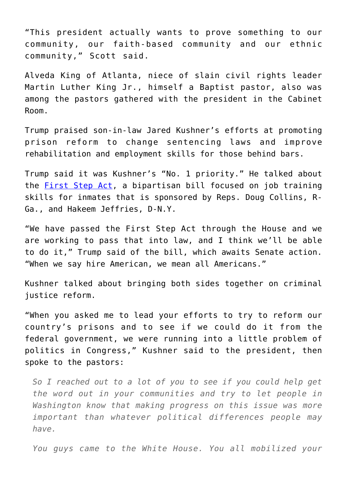"This president actually wants to prove something to our community, our faith-based community and our ethnic community," Scott said.

Alveda King of Atlanta, niece of slain civil rights leader Martin Luther King Jr., himself a Baptist pastor, also was among the pastors gathered with the president in the Cabinet Room.

Trump praised son-in-law Jared Kushner's efforts at promoting prison reform to change sentencing laws and improve rehabilitation and employment skills for those behind bars.

Trump said it was Kushner's "No. 1 priority." He talked about the **[First Step Act](https://www.dailysignal.com/2018/05/24/a-first-step-for-prison-reform/)**, a bipartisan bill focused on job training skills for inmates that is sponsored by Reps. Doug Collins, R-Ga., and Hakeem Jeffries, D-N.Y.

"We have passed the First Step Act through the House and we are working to pass that into law, and I think we'll be able to do it," Trump said of the bill, which awaits Senate action. "When we say hire American, we mean all Americans."

Kushner talked about bringing both sides together on criminal justice reform.

"When you asked me to lead your efforts to try to reform our country's prisons and to see if we could do it from the federal government, we were running into a little problem of politics in Congress," Kushner said to the president, then spoke to the pastors:

*So I reached out to a lot of you to see if you could help get the word out in your communities and try to let people in Washington know that making progress on this issue was more important than whatever political differences people may have.*

*You guys came to the White House. You all mobilized your*